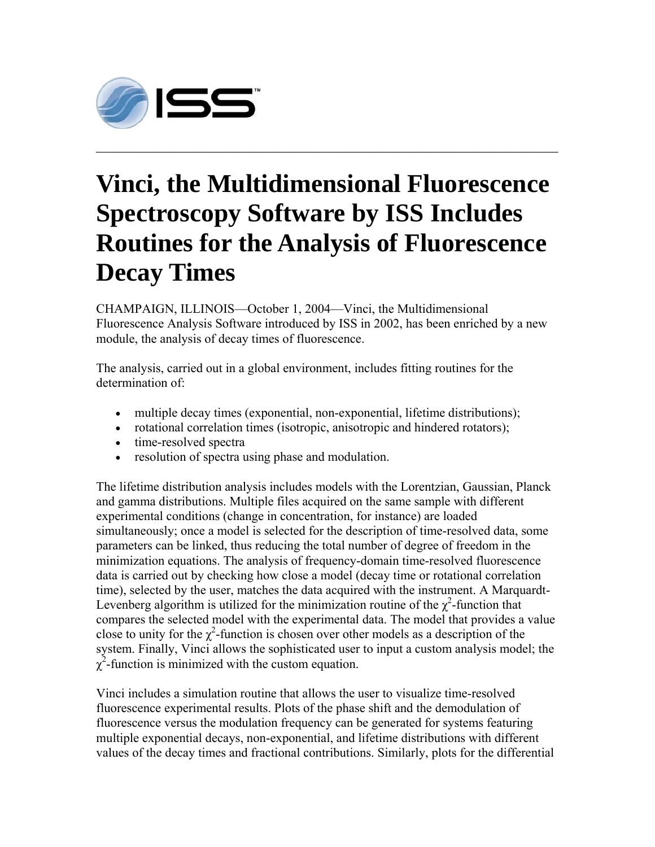

## **Vinci, the Multidimensional Fluorescence Spectroscopy Software by ISS Includes Routines for the Analysis of Fluorescence Decay Times**

**\_\_\_\_\_\_\_\_\_\_\_\_\_\_\_\_\_\_\_\_\_\_\_\_\_\_\_\_\_\_\_\_\_\_\_\_\_\_\_\_\_\_\_\_\_\_\_\_\_\_\_\_\_\_\_\_\_\_\_\_\_\_\_\_\_\_\_\_\_\_\_\_\_\_\_\_\_\_\_\_\_\_\_\_\_\_\_\_\_\_\_\_\_\_\_\_\_\_\_\_\_\_\_\_\_\_\_\_** 

CHAMPAIGN, ILLINOIS—October 1, 2004—Vinci, the Multidimensional Fluorescence Analysis Software introduced by ISS in 2002, has been enriched by a new module, the analysis of decay times of fluorescence.

The analysis, carried out in a global environment, includes fitting routines for the determination of:

- multiple decay times (exponential, non-exponential, lifetime distributions);
- rotational correlation times (isotropic, anisotropic and hindered rotators);
- time-resolved spectra
- resolution of spectra using phase and modulation.

The lifetime distribution analysis includes models with the Lorentzian, Gaussian, Planck and gamma distributions. Multiple files acquired on the same sample with different experimental conditions (change in concentration, for instance) are loaded simultaneously; once a model is selected for the description of time-resolved data, some parameters can be linked, thus reducing the total number of degree of freedom in the minimization equations. The analysis of frequency-domain time-resolved fluorescence data is carried out by checking how close a model (decay time or rotational correlation time), selected by the user, matches the data acquired with the instrument. A Marquardt-Levenberg algorithm is utilized for the minimization routine of the  $\chi^2$ -function that compares the selected model with the experimental data. The model that provides a value close to unity for the  $\chi^2$ -function is chosen over other models as a description of the system. Finally, Vinci allows the sophisticated user to input a custom analysis model; the  $\chi^2$ -function is minimized with the custom equation.

Vinci includes a simulation routine that allows the user to visualize time-resolved fluorescence experimental results. Plots of the phase shift and the demodulation of fluorescence versus the modulation frequency can be generated for systems featuring multiple exponential decays, non-exponential, and lifetime distributions with different values of the decay times and fractional contributions. Similarly, plots for the differential